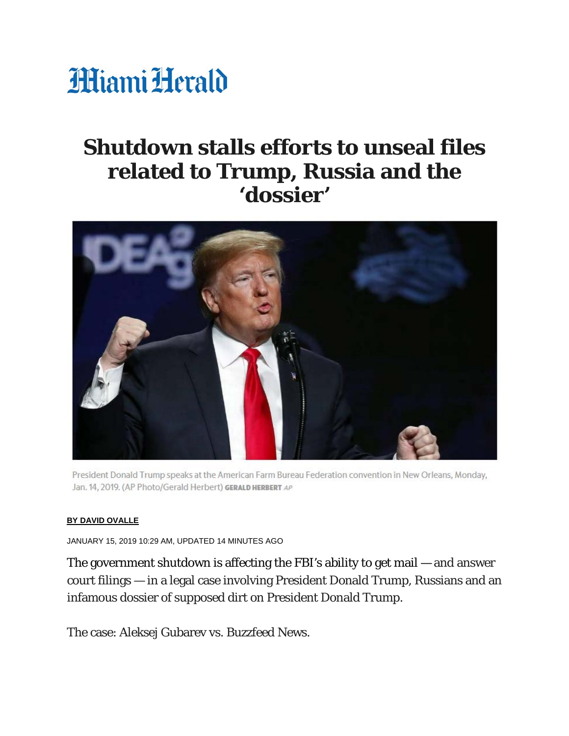## **HiamiHerald**

## **Shutdown stalls efforts to unseal files related to Trump, Russia and the 'dossier'**



President Donald Trump speaks at the American Farm Bureau Federation convention in New Orleans, Monday, Jan. 14, 2019. (AP Photo/Gerald Herbert) GERALD HERBERT AP

## **[BY DAVID OVALLE](mailto:dovalle@miamiherald.com)**

JANUARY 15, 2019 10:29 AM, UPDATED 14 MINUTES AGO

The government shutdown is affecting the FBI's ability to get mail — and answer court filings — in a legal case involving President Donald Trump, Russians and an infamous dossier of supposed dirt on President Donald Trump.

The case: Aleksej Gubarev vs. Buzzfeed News.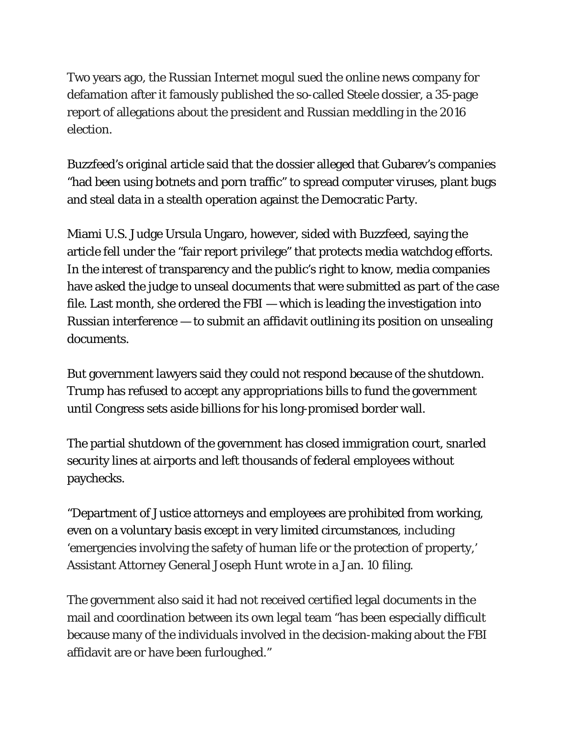Two years ago, the Russian Internet mogul sued the online news company for defamation after it famously published the so-called Steele dossier, a 35-page report of allegations about the president and Russian meddling in the 2016 election.

Buzzfeed's original article said that the dossier alleged that Gubarev's companies "had been using botnets and porn traffic" to spread computer viruses, plant bugs and steal data in a stealth operation against the Democratic Party.

Miami U.S. Judge Ursula Ungaro, however, sided with Buzzfeed, saying the article fell under the "fair report privilege" that protects media watchdog efforts. In the interest of transparency and the public's right to know, media companies have asked the judge to unseal documents that were submitted as part of the case file. Last month, she ordered the FBI — which is leading the investigation into Russian interference — to submit an affidavit outlining its position on unsealing documents.

But government lawyers said they could not respond because of the shutdown. Trump has refused to accept any appropriations bills to fund the government until Congress sets aside billions for his long-promised border wall.

The partial shutdown of the government has closed immigration court, snarled security lines at airports and left thousands of federal employees without paychecks.

"Department of Justice attorneys and employees are prohibited from working, even on a voluntary basis except in very limited circumstances, including 'emergencies involving the safety of human life or the protection of property,' Assistant Attorney General Joseph Hunt wrote in a Jan. 10 filing.

The government also said it had not received certified legal documents in the mail and coordination between its own legal team "has been especially difficult because many of the individuals involved in the decision-making about the FBI affidavit are or have been furloughed."